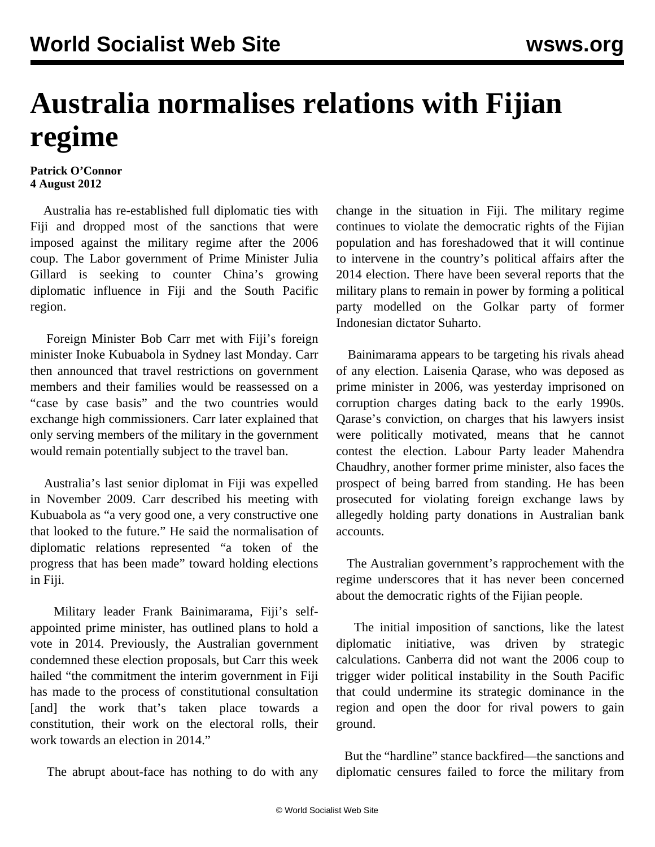## **Australia normalises relations with Fijian regime**

## **Patrick O'Connor 4 August 2012**

 Australia has re-established full diplomatic ties with Fiji and dropped most of the sanctions that were imposed against the military regime after the 2006 coup. The Labor government of Prime Minister Julia Gillard is seeking to counter China's growing diplomatic influence in Fiji and the South Pacific region.

 Foreign Minister Bob Carr met with Fiji's foreign minister Inoke Kubuabola in Sydney last Monday. Carr then announced that travel restrictions on government members and their families would be reassessed on a "case by case basis" and the two countries would exchange high commissioners. Carr later explained that only serving members of the military in the government would remain potentially subject to the travel ban.

 Australia's last senior diplomat in Fiji was expelled in November 2009. Carr described his meeting with Kubuabola as "a very good one, a very constructive one that looked to the future." He said the normalisation of diplomatic relations represented "a token of the progress that has been made" toward holding elections in Fiji.

 Military leader Frank Bainimarama, Fiji's selfappointed prime minister, has outlined plans to hold a vote in 2014. Previously, the Australian government condemned these election proposals, but Carr this week hailed "the commitment the interim government in Fiji has made to the process of constitutional consultation [and] the work that's taken place towards a constitution, their work on the electoral rolls, their work towards an election in 2014."

The abrupt about-face has nothing to do with any

change in the situation in Fiji. The military regime continues to violate the democratic rights of the Fijian population and has foreshadowed that it will continue to intervene in the country's political affairs after the 2014 election. There have been several reports that the military plans to remain in power by forming a political party modelled on the Golkar party of former Indonesian dictator Suharto.

 Bainimarama appears to be targeting his rivals ahead of any election. Laisenia Qarase, who was deposed as prime minister in 2006, was yesterday imprisoned on corruption charges dating back to the early 1990s. Qarase's conviction, on charges that his lawyers insist were politically motivated, means that he cannot contest the election. Labour Party leader Mahendra Chaudhry, another former prime minister, also faces the prospect of being barred from standing. He has been prosecuted for violating foreign exchange laws by allegedly holding party donations in Australian bank accounts.

 The Australian government's rapprochement with the regime underscores that it has never been concerned about the democratic rights of the Fijian people.

 The initial imposition of sanctions, like the latest diplomatic initiative, was driven by strategic calculations. Canberra did not want the 2006 coup to trigger wider political instability in the South Pacific that could undermine its strategic dominance in the region and open the door for rival powers to gain ground.

 But the "hardline" stance backfired—the sanctions and diplomatic censures failed to force the military from